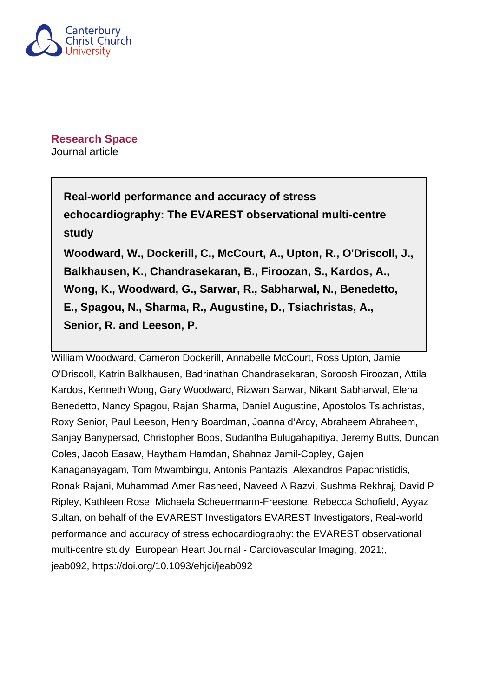

**Research Space** Journal article

> **Real-world performance and accuracy of stress echocardiography: The EVAREST observational multi-centre study Woodward, W., Dockerill, C., McCourt, A., Upton, R., O'Driscoll, J., Balkhausen, K., Chandrasekaran, B., Firoozan, S., Kardos, A., Wong, K., Woodward, G., Sarwar, R., Sabharwal, N., Benedetto, E., Spagou, N., Sharma, R., Augustine, D., Tsiachristas, A., Senior, R. and Leeson, P.**

William Woodward, Cameron Dockerill, Annabelle McCourt, Ross Upton, Jamie O'Driscoll, Katrin Balkhausen, Badrinathan Chandrasekaran, Soroosh Firoozan, Attila Kardos, Kenneth Wong, Gary Woodward, Rizwan Sarwar, Nikant Sabharwal, Elena Benedetto, Nancy Spagou, Rajan Sharma, Daniel Augustine, Apostolos Tsiachristas, Roxy Senior, Paul Leeson, Henry Boardman, Joanna d'Arcy, Abraheem Abraheem, Sanjay Banypersad, Christopher Boos, Sudantha Bulugahapitiya, Jeremy Butts, Duncan Coles, Jacob Easaw, Haytham Hamdan, Shahnaz Jamil-Copley, Gajen Kanaganayagam, Tom Mwambingu, Antonis Pantazis, Alexandros Papachristidis, Ronak Rajani, Muhammad Amer Rasheed, Naveed A Razvi, Sushma Rekhraj, David P Ripley, Kathleen Rose, Michaela Scheuermann-Freestone, Rebecca Schofield, Ayyaz Sultan, on behalf of the EVAREST Investigators EVAREST Investigators, Real-world performance and accuracy of stress echocardiography: the EVAREST observational multi-centre study, European Heart Journal - Cardiovascular Imaging, 2021;, jeab092,<https://doi.org/10.1093/ehjci/jeab092>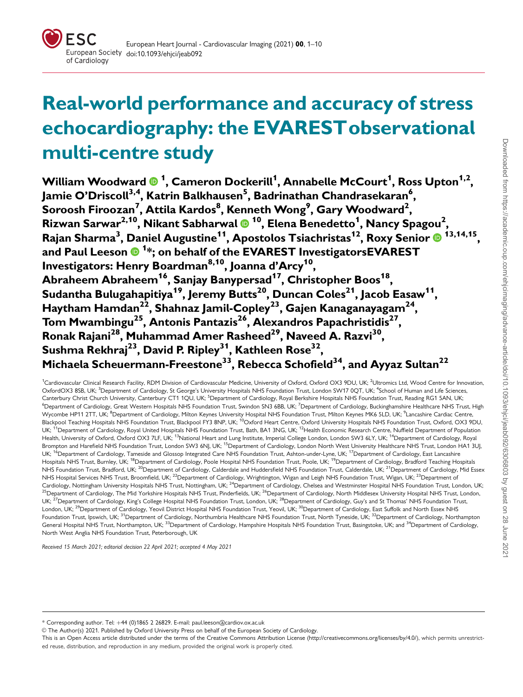

# Real-world performance and accuracy of stress echocardiography: the EVARESTobservational multi-centre study

William Woodward  $\mathbf{0}$  <sup>1</sup>, Cameron Dockerill<sup>1</sup>, Annabelle McCourt<sup>1</sup>, Ross Upton<sup>1,2</sup>, Jamie O'Driscoll<sup>3,4</sup>, Katrin Balkhausen<sup>5</sup>, Badrinathan Chandrasekaran<sup>6</sup>, Soroosh Firoozan<sup>7</sup>, Attila Kardos $^8$ , Kenneth Wong $^9$ , Gary Woodward $^2$ , Rizwan Sarwar<sup>2,10</sup>, Nikant Sabharwal ® <sup>10</sup>, Elena Benedetto<sup>1</sup>, Nancy Spagou<sup>2</sup>, Rajan Sharma<sup>3</sup>, Daniel Augustine<sup>11</sup>, Apostolos Tsiachristas<sup>12</sup>, Roxy Senior ® <sup>13,14,15</sup>, and Paul Leeson <sup>1</sup> \*; on behalf of the EVAREST InvestigatorsEVAREST Investigators: Henry Boardman<sup>8,10</sup>, Joanna d'Arcy<sup>10</sup>, Abraheem Abraheem<sup>16</sup>, Sanjay Banypersad<sup>17</sup>, Christopher Boos<sup>18</sup>, Sudantha Bulugahapitiya<sup>19</sup>, Jeremy Butts<sup>20</sup>, Duncan Coles<sup>21</sup>, Jacob Easaw<sup>11</sup>, Haytham Hamdan<sup>22</sup>, Shahnaz Jamil-Copley<sup>23</sup>, Gajen Kanaganayagam<sup>24</sup>, Tom Mwambingu<sup>25</sup>, Antonis Pantazis<sup>26</sup>, Alexandros Papachristidis<sup>27</sup>, Ronak Rajani<sup>28</sup>, Muhammad Amer Rasheed<sup>29</sup>, Naveed A. Razvi<sup>30</sup>, Sushma Rekhraj<sup>23</sup>, David P. Ripley<sup>31</sup>, Kathleen Rose<sup>32</sup>, Michaela Scheuermann-Freestone<sup>33</sup>, Rebecca Schofield<sup>34</sup>, and Ayyaz Sultan<sup>22</sup>

<sup>1</sup>Cardiovascular Clinical Research Facility, RDM Division of Cardiovascular Medicine, University of Oxford, Oxford OX3 9DU, UK; <sup>2</sup>Ultromics Ltd, Wood Centre for Innovation. OxfordOX3 8SB, UK; <sup>3</sup>Department of Cardiology, St George's University Hospitals NHS Foundation Trust, London SW17 0QT, UK; <sup>4</sup>School of Human and Life Sciences, Canterbury Christ Church University, Canterbury CT1 1QU, UK; <sup>5</sup>Department of Cardiology, Royal Berkshire Hospitals NHS Foundation Trust, Reading RG1 5AN, UK <sup>6</sup>Department of Cardiology, Great Western Hospitals NHS Foundation Trust, Swindon SN3 6BB, UK; <sup>7</sup>Department of Cardiology, Buckinghamshire Healthcare NHS Trust, High Wycombe HP11 2TT, UK; <sup>8</sup>Department of Cardiology, Milton Keynes University Hospital NHS Foundation Trust, Milton Keynes MK6 5LD, UK; <sup>9</sup>Lancashire Cardiac Centre,<br>Blackpool Teaching Hospitals NHS Foundation Trust, Blackpo UK; <sup>11</sup>Department of Cardiology, Royal United Hospitals NHS Foundation Trust, Bath, BA1 3NG, UK; <sup>12</sup>Health Economic Research Centre, Nuffield Department of Population Health, University of Oxford, Oxford OX3 7LF, UK; <sup>13</sup>National Heart and Lung Institute, Imperial College London, London SW3 6LY, UK; <sup>14</sup>Department of Cardiology, Royal Brompton and Harefield NHS Foundation Trust, London SW3 6NJ, UK; <sup>15</sup>Department of Cardiology, London North West University Healthcare NHS Trust, London HA1 3UJ, UK; <sup>16</sup>Department of Cardiology, Tameside and Glossop Integrated Care NHS Foundation Trust, Ashton-under-Lyne, UK; <sup>17</sup>Department of Cardiology, East Lancashire Hospitals NHS Trust, Burnley, UK;<sup>18</sup>Department of Cardiology, Poole Hospital NHS Foundation Trust, Poole, UK;<sup>19</sup>Department of Cardiology, Bradford Teaching Hospitals NHS Foundation Trust, Bradford, UK;<sup>20</sup>Department of Cardiology, Calderdale and Huddersfield NHS Foundation Trust, Calderdale, UK;<sup>21</sup>Department of Cardiology, Mid Essex NHS Hospital Services NHS Trust, Broomfield, UK;<sup>22</sup>Department of Cardiology, Wrightington, Wigan and Leigh NHS Foundation Trust, Wigan, UK;<sup>23</sup>Department of Cardiology, Nottingham University Hospitals NHS Trust, Nottingham, UK; <sup>24</sup>Department of Cardiology, Chelsea and Westminster Hospital NHS Foundation Trust, London, UK; <sup>25</sup>Department of Cardiology, The Mid Yorkshire Hospitals NHS Trust, Pinderfields, UK; <sup>26</sup>Department of Cardiology, North Middlesex University Hospital NHS Trust, London, UK; <sup>27</sup>Department of Cardiology, King's College Hospital NHS Foundation Trust, London, UK; <sup>28</sup>Department of Cardiology, Guy's and St Thomas' NHS Foundation Trust, London, UK;<sup>29</sup>Department of Cardiology, Yeovil District Hospital NHS Foundation Trust, Yeovil, UK;<sup>30</sup>Department of Cardiology, East Suffolk and North Essex NHS Foundation Trust, Ipswich, UK; <sup>31</sup>Department of Cardiology, Northumbria Healthcare NHS Foundation Trust, North Tyneside, UK; <sup>32</sup>Department of Cardiology, Northampton General Hospital NHS Trust, Northampton, UK;<sup>33</sup>Department of Cardiology, Hampshire Hospitals NHS Foundation Trust, Basingstoke, UK; and <sup>34</sup>Department of Cardiology, North West Anglia NHS Foundation Trust, Peterborough, UK

Received 15 March 2021; editorial decision 22 April 2021; accepted 4 May 2021

V<sup>C</sup> The Author(s) 2021. Published by Oxford University Press on behalf of the European Society of Cardiology.

<sup>\*</sup> Corresponding author. Tel: þ44 (0)1865 2 26829. E-mail: paul.leeson@cardiov.ox.ac.uk

This is an Open Access article distributed under the terms of the Creative Commons Attribution License [\(http://creativecommons.org/licenses/by/4.0/](Undefined namespace prefix
xmlXPathCompOpEval: parameter error
xmlXPathEval: evaluation failed
)), which permits unrestricted reuse, distribution, and reproduction in any medium, provided the original work is properly cited.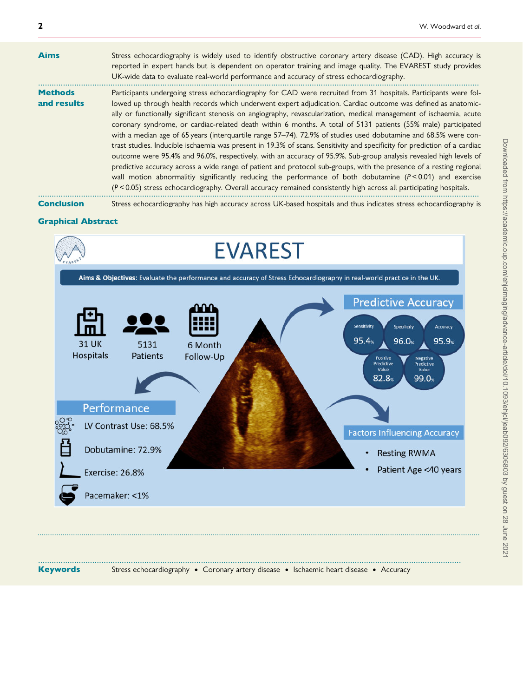| <b>Aims</b>                   | Stress echocardiography is widely used to identify obstructive coronary artery disease (CAD). High accuracy is<br>reported in expert hands but is dependent on operator training and image quality. The EVAREST study provides<br>UK-wide data to evaluate real-world performance and accuracy of stress echocardiography.                                                                                                                                                                                                                                                                                                                                                                                                                                                                                                                                                                                                                                                                                                                                                                                                                                                                                     |
|-------------------------------|----------------------------------------------------------------------------------------------------------------------------------------------------------------------------------------------------------------------------------------------------------------------------------------------------------------------------------------------------------------------------------------------------------------------------------------------------------------------------------------------------------------------------------------------------------------------------------------------------------------------------------------------------------------------------------------------------------------------------------------------------------------------------------------------------------------------------------------------------------------------------------------------------------------------------------------------------------------------------------------------------------------------------------------------------------------------------------------------------------------------------------------------------------------------------------------------------------------|
| <b>Methods</b><br>and results | Participants undergoing stress echocardiography for CAD were recruited from 31 hospitals. Participants were fol-<br>lowed up through health records which underwent expert adjudication. Cardiac outcome was defined as anatomic-<br>ally or functionally significant stenosis on angiography, revascularization, medical management of ischaemia, acute<br>coronary syndrome, or cardiac-related death within 6 months. A total of 5131 patients (55% male) participated<br>with a median age of 65 years (interquartile range 57–74). 72.9% of studies used dobutamine and 68.5% were con-<br>trast studies. Inducible ischaemia was present in 19.3% of scans. Sensitivity and specificity for prediction of a cardiac<br>outcome were 95.4% and 96.0%, respectively, with an accuracy of 95.9%. Sub-group analysis revealed high levels of<br>predictive accuracy across a wide range of patient and protocol sub-groups, with the presence of a resting regional<br>wall motion abnormalitiy significantly reducing the performance of both dobutamine $(P < 0.01)$ and exercise<br>$(P < 0.05)$ stress echocardiography. Overall accuracy remained consistently high across all participating hospitals. |
|                               |                                                                                                                                                                                                                                                                                                                                                                                                                                                                                                                                                                                                                                                                                                                                                                                                                                                                                                                                                                                                                                                                                                                                                                                                                |

Conclusion Stress echocardiography has high accuracy across UK-based hospitals and thus indicates stress echocardiography is

#### Graphical Abstract



Keywords Stress echocardiography • Coronary artery disease • Ischaemic heart disease • Accuracy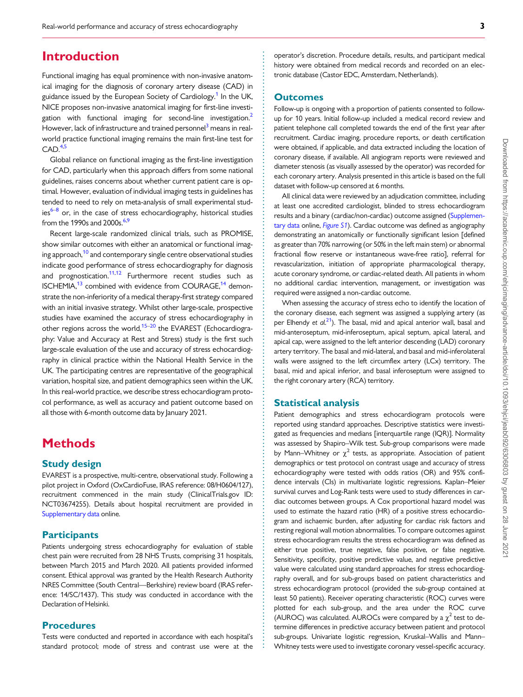# **Introduction**

Functional imaging has equal prominence with non-invasive anatomical imaging for the diagnosis of coronary artery disease (CAD) in guidance issued by the European Society of Cardiology.<sup>1</sup> In the UK, NICE proposes non-invasive anatomical imaging for first-line investigation with functional imaging for second-line investigation.<sup>2</sup> However, lack of infrastructure and trained personnel<sup>3</sup> means in realworld practice functional imaging remains the main first-line test for  $CAD.<sup>4,5</sup>$ 

Global reliance on functional imaging as the first-line investigation for CAD, particularly when this approach differs from some national guidelines, raises concerns about whether current patient care is optimal. However, evaluation of individual imaging tests in guidelines has tended to need to rely on meta-analysis of small experimental stud $ies^{6-8}$  or, in the case of stress echocardiography, historical studies from the 1990s and 2000s. $6,9$ 

Recent large-scale randomized clinical trials, such as PROMISE, show similar outcomes with either an anatomical or functional imaging approach,<sup>10</sup> and contemporary single centre observational studies indicate good performance of stress echocardiography for diagnosis and prognostication. $11,12$  Furthermore recent studies such as ISCHEMIA,<sup>13</sup> combined with evidence from COURAGE,<sup>14</sup> demonstrate the non-inferiority of a medical therapy-first strategy compared with an initial invasive strategy. Whilst other large-scale, prospective studies have examined the accuracy of stress echocardiography in other regions across the world,<sup>15–20</sup> the EVAREST (Echocardiography: Value and Accuracy at Rest and Stress) study is the first such large-scale evaluation of the use and accuracy of stress echocardiography in clinical practice within the National Health Service in the UK. The participating centres are representative of the geographical variation, hospital size, and patient demographics seen within the UK. In this real-world practice, we describe stress echocardiogram protocol performance, as well as accuracy and patient outcome based on all those with 6-month outcome data by January 2021.

# **Methods**

## Study design

EVAREST is a prospective, multi-centre, observational study. Following a pilot project in Oxford (OxCardioFuse, IRAS reference: 08/H0604/127), recruitment commenced in the main study (ClinicalTrials.gov ID: NCT03674255). Details about hospital recruitment are provided in [Supplementary data](https://academic.oup.com/ehjcimaging/article-lookup/doi/10.1093/ehjci/jeab092#supplementary-data) online.

## **Participants**

Patients undergoing stress echocardiography for evaluation of stable chest pain were recruited from 28 NHS Trusts, comprising 31 hospitals, between March 2015 and March 2020. All patients provided informed consent. Ethical approval was granted by the Health Research Authority NRES Committee (South Central—Berkshire) review board (IRAS reference: 14/SC/1437). This study was conducted in accordance with the Declaration of Helsinki.

### Procedures

Tests were conducted and reported in accordance with each hospital's standard protocol; mode of stress and contrast use were at the

operator's discretion. Procedure details, results, and participant medical history were obtained from medical records and recorded on an electronic database (Castor EDC, Amsterdam, Netherlands).

#### **Outcomes**

Follow-up is ongoing with a proportion of patients consented to followup for 10 years. Initial follow-up included a medical record review and patient telephone call completed towards the end of the first year after recruitment. Cardiac imaging, procedure reports, or death certification were obtained, if applicable, and data extracted including the location of coronary disease, if available. All angiogram reports were reviewed and diameter stenosis (as visually assessed by the operator) was recorded for each coronary artery. Analysis presented in this article is based on the full dataset with follow-up censored at 6 months.

All clinical data were reviewed by an adjudication committee, including at least one accredited cardiologist, blinded to stress echocardiogram results and a binary (cardiac/non-cardiac) outcome assigned [\(Supplemen](https://academic.oup.com/ehjcimaging/article-lookup/doi/10.1093/ehjci/jeab092#supplementary-data)[tary data](https://academic.oup.com/ehjcimaging/article-lookup/doi/10.1093/ehjci/jeab092#supplementary-data) online, [Figure S1](https://academic.oup.com/ehjcimaging/article-lookup/doi/10.1093/ehjci/jeab092#supplementary-data)). Cardiac outcome was defined as angiography demonstrating an anatomically or functionally significant lesion [defined as greater than 70% narrowing (or 50% in the left main stem) or abnormal fractional flow reserve or instantaneous wave-free ratio], referral for revascularization, initiation of appropriate pharmacological therapy, acute coronary syndrome, or cardiac-related death. All patients in whom no additional cardiac intervention, management, or investigation was required were assigned a non-cardiac outcome.

When assessing the accuracy of stress echo to identify the location of the coronary disease, each segment was assigned a supplying artery (as per Elhendy et  $al^{21}$ ). The basal, mid and apical anterior wall, basal and mid-anteroseptum, mid-inferoseptum, apical septum, apical lateral, and apical cap, were assigned to the left anterior descending (LAD) coronary artery territory. The basal and mid-lateral, and basal and mid-inferolateral walls were assigned to the left circumflex artery (LCx) territory. The basal, mid and apical inferior, and basal inferoseptum were assigned to the right coronary artery (RCA) territory.

#### Statistical analysis

. . . . . . . . . . . . . . . . . . . . . . . . . . . . . . . . . . . . . . . . . . . . . . . . . . . . . . . . . . . . . . . . . . . . . . . . . . . . . . . . . . . . . . . . . . . . . . . . . . . . . . . . . . . . . . . . . . . . . . . . . . . . . . . . . . . . . . . . . . . . . . . . . . . . . . . . . . . . . . . . . . . . . . . . . . . .

Patient demographics and stress echocardiogram protocols were reported using standard approaches. Descriptive statistics were investigated as frequencies and medians [interquartile range (IQR)]. Normality was assessed by Shapiro–Wilk test. Sub-group comparisons were made by Mann–Whitney or  $\chi^2$  tests, as appropriate. Association of patient demographics or test protocol on contrast usage and accuracy of stress echocardiography were tested with odds ratios (OR) and 95% confidence intervals (CIs) in multivariate logistic regressions. Kaplan–Meier survival curves and Log-Rank tests were used to study differences in cardiac outcomes between groups. A Cox proportional hazard model was used to estimate the hazard ratio (HR) of a positive stress echocardiogram and ischaemic burden, after adjusting for cardiac risk factors and resting regional wall motion abnormalities. To compare outcomes against stress echocardiogram results the stress echocardiogram was defined as either true positive, true negative, false positive, or false negative. Sensitivity, specificity, positive predictive value, and negative predictive value were calculated using standard approaches for stress echocardiography overall, and for sub-groups based on patient characteristics and stress echocardiogram protocol (provided the sub-group contained at least 50 patients). Receiver operating characteristic (ROC) curves were plotted for each sub-group, and the area under the ROC curve (AUROC) was calculated. AUROCs were compared by a  $\chi^2$  test to determine differences in predictive accuracy between patient and protocol sub-groups. Univariate logistic regression, Kruskal–Wallis and Mann– Whitney tests were used to investigate coronary vessel-specific accuracy.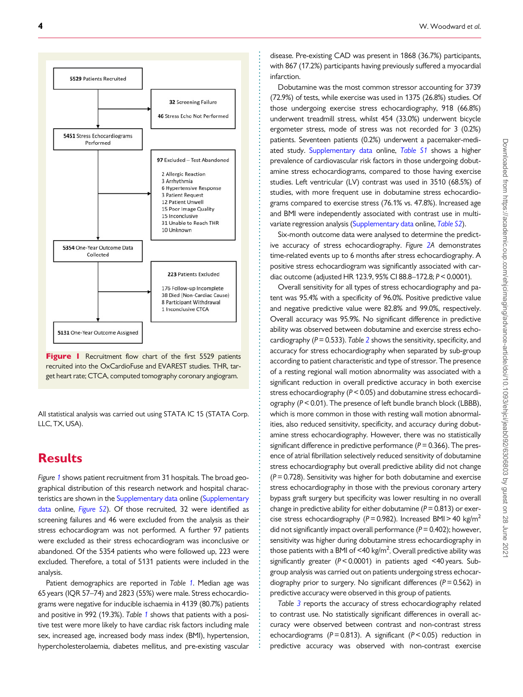

Figure I Recruitment flow chart of the first 5529 patients recruited into the OxCardioFuse and EVAREST studies. THR, target heart rate; CTCA, computed tomography coronary angiogram.

All statistical analysis was carried out using STATA IC 15 (STATA Corp. LLC, TX, USA).

# **Results**

Figure 1 shows patient recruitment from 31 hospitals. The broad geographical distribution of this research network and hospital characteristics are shown in the [Supplementary data](https://academic.oup.com/ehjcimaging/article-lookup/doi/10.1093/ehjci/jeab092#supplementary-data) online ([Supplementary](https://academic.oup.com/ehjcimaging/article-lookup/doi/10.1093/ehjci/jeab092#supplementary-data) [data](https://academic.oup.com/ehjcimaging/article-lookup/doi/10.1093/ehjci/jeab092#supplementary-data) online, [Figure S2](https://academic.oup.com/ehjcimaging/article-lookup/doi/10.1093/ehjci/jeab092#supplementary-data)). Of those recruited, 32 were identified as screening failures and 46 were excluded from the analysis as their stress echocardiogram was not performed. A further 97 patients were excluded as their stress echocardiogram was inconclusive or abandoned. Of the 5354 patients who were followed up, 223 were excluded. Therefore, a total of 5131 patients were included in the analysis.

Patient demographics are reported in Table 1. Median age was 65 years (IQR 57–74) and 2823 (55%) were male. Stress echocardiograms were negative for inducible ischaemia in 4139 (80.7%) patients and positive in 992 (19.3%). Table 1 shows that patients with a positive test were more likely to have cardiac risk factors including male sex, increased age, increased body mass index (BMI), hypertension, hypercholesterolaemia, diabetes mellitus, and pre-existing vascular disease. Pre-existing CAD was present in 1868 (36.7%) participants, with 867 (17.2%) participants having previously suffered a myocardial infarction.

Dobutamine was the most common stressor accounting for 3739 (72.9%) of tests, while exercise was used in 1375 (26.8%) studies. Of those undergoing exercise stress echocardiography, 918 (66.8%) underwent treadmill stress, whilst 454 (33.0%) underwent bicycle ergometer stress, mode of stress was not recorded for 3 (0.2%) patients. Seventeen patients (0.2%) underwent a pacemaker-medi-ated study. [Supplementary data](https://academic.oup.com/ehjcimaging/article-lookup/doi/10.1093/ehjci/jeab092#supplementary-data) online, [Table S1](https://academic.oup.com/ehjcimaging/article-lookup/doi/10.1093/ehjci/jeab092#supplementary-data) shows a higher prevalence of cardiovascular risk factors in those undergoing dobutamine stress echocardiograms, compared to those having exercise studies. Left ventricular (LV) contrast was used in 3510 (68.5%) of studies, with more frequent use in dobutamine stress echocardiograms compared to exercise stress (76.1% vs. 47.8%). Increased age and BMI were independently associated with contrast use in multivariate regression analysis ([Supplementary data](https://academic.oup.com/ehjcimaging/article-lookup/doi/10.1093/ehjci/jeab092#supplementary-data) online, [Table S2](https://academic.oup.com/ehjcimaging/article-lookup/doi/10.1093/ehjci/jeab092#supplementary-data)).

Six-month outcome data were analysed to determine the predictive accuracy of stress echocardiography. Figure 2A demonstrates time-related events up to 6 months after stress echocardiography. A positive stress echocardiogram was significantly associated with cardiac outcome (adjusted HR 123.9, 95% CI 88.8–172.8; P < 0.0001).

Overall sensitivity for all types of stress echocardiography and patent was 95.4% with a specificity of 96.0%. Positive predictive value and negative predictive value were 82.8% and 99.0%, respectively. Overall accuracy was 95.9%. No significant difference in predictive ability was observed between dobutamine and exercise stress echocardiography ( $P = 0.533$ ). Table 2 shows the sensitivity, specificity, and accuracy for stress echocardiography when separated by sub-group according to patient characteristic and type of stressor. The presence of a resting regional wall motion abnormality was associated with a significant reduction in overall predictive accuracy in both exercise stress echocardiography (P< 0.05) and dobutamine stress echocardiography (P< 0.01). The presence of left bundle branch block (LBBB), which is more common in those with resting wall motion abnormalities, also reduced sensitivity, specificity, and accuracy during dobutamine stress echocardiography. However, there was no statistically significant difference in predictive performance ( $P = 0.366$ ). The presence of atrial fibrillation selectively reduced sensitivity of dobutamine stress echocardiography but overall predictive ability did not change  $(P = 0.728)$ . Sensitivity was higher for both dobutamine and exercise stress echocardiography in those with the previous coronary artery bypass graft surgery but specificity was lower resulting in no overall change in predictive ability for either dobutamine ( $P = 0.813$ ) or exercise stress echocardiography ( $P = 0.982$ ). Increased BMI > 40 kg/m<sup>2</sup> did not significantly impact overall performance ( $P = 0.402$ ); however, sensitivity was higher during dobutamine stress echocardiography in those patients with a BMI of <40 kg/m<sup>2</sup>. Overall predictive ability was significantly greater (P< 0.0001) in patients aged <40 years. Subgroup analysis was carried out on patients undergoing stress echocardiography prior to surgery. No significant differences ( $P = 0.562$ ) in predictive accuracy were observed in this group of patients.

Table 3 reports the accuracy of stress echocardiography related to contrast use. No statistically significant differences in overall accuracy were observed between contrast and non-contrast stress echocardiograms ( $P = 0.813$ ). A significant ( $P < 0.05$ ) reduction in predictive accuracy was observed with non-contrast exercise

. . . . . . . . . . . . . . . . . . . . . . . . . . . . . . . . . . . . . . . . . . . . . . . . . . . . . . . . . . . . . . . . . . . . . . . . . . . . . . . . . . . . . . . . . . . . . . . . . . . . . . . . . . . . . . . . . . . . . . . . . . . . . . . . . . . . . . . . . . . . . . . . . . . . . . . . . . . . . . . . . . . . . . . . . . . . .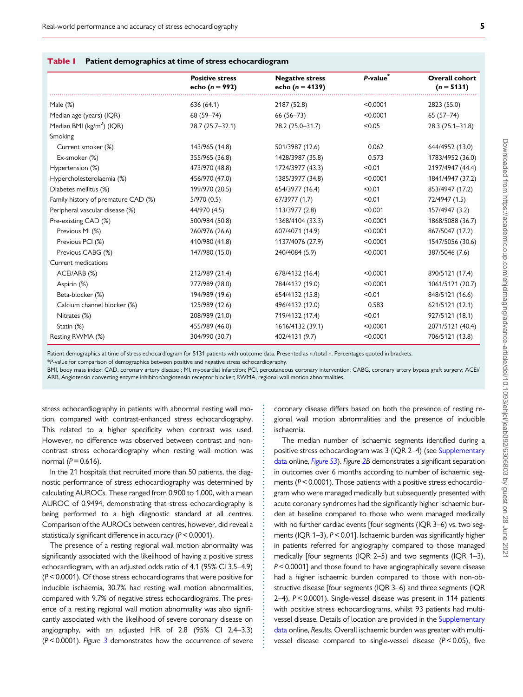| Table I | <b>Patient demographics at time of stress echocardiogram</b> |  |  |  |  |  |
|---------|--------------------------------------------------------------|--|--|--|--|--|
|---------|--------------------------------------------------------------|--|--|--|--|--|

|                                       | <b>Positive stress</b> | <b>Negative stress</b> | P-value <sup>*</sup> | Overall cohort      |  |
|---------------------------------------|------------------------|------------------------|----------------------|---------------------|--|
|                                       | echo ( $n = 992$ )     | echo ( $n = 4139$ )    |                      | $(n = 5131)$        |  |
| Male $(\%)$                           | 636 (64.1)             | 2187 (52.8)            | < 0.0001             | 2823 (55.0)         |  |
| Median age (years) (IQR)              | 68 (59-74)             | $66(56 - 73)$          | < 0.0001             | $65(57-74)$         |  |
| Median BMI (kg/m <sup>2</sup> ) (IQR) | 28.7 (25.7-32.1)       | 28.2 (25.0-31.7)       | < 0.05               | $28.3(25.1 - 31.8)$ |  |
| Smoking                               |                        |                        |                      |                     |  |
| Current smoker (%)                    | 143/965 (14.8)         | 501/3987 (12.6)        | 0.062                | 644/4952 (13.0)     |  |
| Ex-smoker (%)                         | 355/965 (36.8)         | 1428/3987 (35.8)       | 0.573                | 1783/4952 (36.0)    |  |
| Hypertension (%)                      | 473/970 (48.8)         | 1724/3977 (43.3)       | < 0.01               | 2197/4947 (44.4)    |  |
| Hypercholesterolaemia (%)             | 456/970 (47.0)         | 1385/3977 (34.8)       | < 0.0001             | 1841/4947 (37.2)    |  |
| Diabetes mellitus (%)                 | 199/970 (20.5)         | 654/3977 (16.4)        | < 0.01               | 853/4947 (17.2)     |  |
| Family history of premature CAD (%)   | 5/970(0.5)             | 67/3977 (1.7)          | < 0.01               | 72/4947 (1.5)       |  |
| Peripheral vascular disease (%)       | 44/970 (4.5)           | 113/3977 (2.8)         | < 0.001              | 157/4947 (3.2)      |  |
| Pre-existing CAD (%)                  | 500/984 (50.8)         | 1368/4104 (33.3)       | < 0.0001             | 1868/5088 (36.7)    |  |
| Previous MI (%)                       | 260/976 (26.6)         | 607/4071 (14.9)        | < 0.0001             | 867/5047 (17.2)     |  |
| Previous PCI (%)                      | 410/980 (41.8)         | 1137/4076 (27.9)       | < 0.0001             | 1547/5056 (30.6)    |  |
| Previous CABG (%)                     | 147/980 (15.0)         | 240/4084 (5.9)         | < 0.0001             | 387/5046 (7.6)      |  |
| Current medications                   |                        |                        |                      |                     |  |
| ACEI/ARB (%)                          | 212/989 (21.4)         | 678/4132 (16.4)        | < 0.0001             | 890/5121 (17.4)     |  |
| Aspirin (%)                           | 277/989 (28.0)         | 784/4132 (19.0)        | < 0.0001             | 1061/5121 (20.7)    |  |
| Beta-blocker (%)                      | 194/989 (19.6)         | 654/4132 (15.8)        | < 0.01               | 848/5121 (16.6)     |  |
| Calcium channel blocker (%)           | 125/989 (12.6)         | 496/4132 (12.0)        | 0.583                | 621/5121 (12.1)     |  |
| Nitrates (%)                          | 208/989 (21.0)         | 719/4132 (17.4)        | < 0.01               | 927/5121 (18.1)     |  |
| Statin (%)                            | 455/989 (46.0)         | 1616/4132 (39.1)       | < 0.0001             | 2071/5121 (40.4)    |  |
| Resting RWMA (%)                      | 304/990 (30.7)         | 402/4131 (9.7)         | < 0.0001             | 706/5121 (13.8)     |  |

Patient demographics at time of stress echocardiogram for 5131 patients with outcome data. Presented as n./total n. Percentages quoted in brackets.

\*P-value for comparison of demographics between positive and negative stress echocardiography.

BMI, body mass index; CAD, coronary artery disease ; MI, myocardial infarction; PCI, percutaneous coronary intervention; CABG, coronary artery bypass graft surgery; ACEi/ ARB, Angiotensin converting enzyme inhibitor/angiotensin receptor blocker; RWMA, regional wall motion abnormalities.

> . . . . . . . . . . . . . . . . . . . . . . . . . . . . . . . . . . . . . . . . . . . . . . . . . . . . . . . . . . . . . . . . . . . . . .

stress echocardiography in patients with abnormal resting wall motion, compared with contrast-enhanced stress echocardiography. This related to a higher specificity when contrast was used. However, no difference was observed between contrast and noncontrast stress echocardiography when resting wall motion was normal ( $P = 0.616$ ).

In the 21 hospitals that recruited more than 50 patients, the diagnostic performance of stress echocardiography was determined by calculating AUROCs. These ranged from 0.900 to 1.000, with a mean AUROC of 0.9494, demonstrating that stress echocardiography is being performed to a high diagnostic standard at all centres. Comparison of the AUROCs between centres, however, did reveal a statistically significant difference in accuracy ( $P < 0.0001$ ).

The presence of a resting regional wall motion abnormality was significantly associated with the likelihood of having a positive stress echocardiogram, with an adjusted odds ratio of 4.1 (95% CI 3.5–4.9) (P< 0.0001). Of those stress echocardiograms that were positive for inducible ischaemia, 30.7% had resting wall motion abnormalities, compared with 9.7% of negative stress echocardiograms. The presence of a resting regional wall motion abnormality was also significantly associated with the likelihood of severe coronary disease on angiography, with an adjusted HR of 2.8 (95% CI 2.4–3.3)  $(P < 0.0001)$ . Figure 3 demonstrates how the occurrence of severe coronary disease differs based on both the presence of resting regional wall motion abnormalities and the presence of inducible ischaemia.

The median number of ischaemic segments identified during a positive stress echocardiogram was 3 (IQR 2–4) (see [Supplementary](https://academic.oup.com/ehjcimaging/article-lookup/doi/10.1093/ehjci/jeab092#supplementary-data) [data](https://academic.oup.com/ehjcimaging/article-lookup/doi/10.1093/ehjci/jeab092#supplementary-data) online, [Figure S3](https://academic.oup.com/ehjcimaging/article-lookup/doi/10.1093/ehjci/jeab092#supplementary-data)). Figure 2B demonstrates a significant separation in outcomes over 6 months according to number of ischaemic segments ( $P < 0.0001$ ). Those patients with a positive stress echocardiogram who were managed medically but subsequently presented with acute coronary syndromes had the significantly higher ischaemic burden at baseline compared to those who were managed medically with no further cardiac events [four segments (IQR 3–6) vs. two segments (IQR 1–3), P < 0.01]. Ischaemic burden was significantly higher in patients referred for angiography compared to those managed medically [four segments (IQR 2–5) and two segments (IQR 1–3), P< 0.0001] and those found to have angiographically severe disease had a higher ischaemic burden compared to those with non-obstructive disease [four segments (IQR 3–6) and three segments (IQR 2–4), P < 0.0001). Single-vessel disease was present in 114 patients with positive stress echocardiograms, whilst 93 patients had multivessel disease. Details of location are provided in the [Supplementary](https://academic.oup.com/ehjcimaging/article-lookup/doi/10.1093/ehjci/jeab092#supplementary-data) [data](https://academic.oup.com/ehjcimaging/article-lookup/doi/10.1093/ehjci/jeab092#supplementary-data) online, Results. Overall ischaemic burden was greater with multivessel disease compared to single-vessel disease  $(P < 0.05)$ , five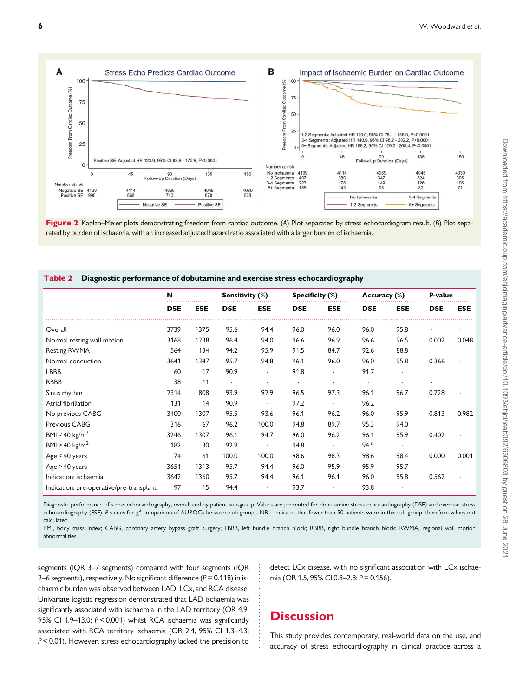

Figure 2 Kaplan–Meier plots demonstrating freedom from cardiac outcome. (A) Plot separated by stress echocardiogram result. (B) Plot separated by burden of ischaemia, with an increased adjusted hazard ratio associated with a larger burden of ischaemia.

#### Table 2 Diagnostic performance of dobutamine and exercise stress echocardiography

|                                          | N          |            | <b>Sensitivity (%)</b> |                      | Specificity $(\%)$ |            | Accuracy (%) |            | P-value    |            |
|------------------------------------------|------------|------------|------------------------|----------------------|--------------------|------------|--------------|------------|------------|------------|
|                                          | <b>DSE</b> | <b>ESE</b> | <b>DSE</b>             | <b>ESE</b>           | <b>DSE</b>         | <b>ESE</b> | <b>DSE</b>   | <b>ESE</b> | <b>DSE</b> | <b>ESE</b> |
| Overall                                  | 3739       | 1375       | 95.6                   | 94.4                 | 96.0               | 96.0       | 96.0         | 95.8       |            |            |
| Normal resting wall motion               | 3168       | 1238       | 96.4                   | 94.0                 | 96.6               | 96.9       | 96.6         | 96.5       | 0.002      | 0.048      |
| Resting RWMA                             | 564        | 134        | 94.2                   | 95.9                 | 91.5               | 84.7       | 92.6         | 88.8       |            |            |
| Normal conduction                        | 3641       | 1347       | 95.7                   | 94.8                 | 96.1               | 96.0       | 96.0         | 95.8       | 0.366      |            |
| <b>LBBB</b>                              | 60         | 17         | 90.9                   | $\ddot{\phantom{0}}$ | 91.8               | $\cdot$    | 91.7         | $\cdot$    |            |            |
| <b>RBBB</b>                              | 38         | 11         | $\cdot$                |                      | $\cdot$            | $\cdot$    | $\cdot$      |            |            |            |
| Sinus rhythm                             | 2314       | 808        | 93.9                   | 92.9                 | 96.5               | 97.3       | 96.1         | 96.7       | 0.728      |            |
| Atrial fibrillation                      | 131        | 14         | 90.9                   |                      | 97.2               |            | 96.2         |            |            |            |
| No previous CABG                         | 3400       | 1307       | 95.5                   | 93.6                 | 96.1               | 96.2       | 96.0         | 95.9       | 0.813      | 0.982      |
| Previous CABG                            | 316        | 67         | 96.2                   | 100.0                | 94.8               | 89.7       | 95.3         | 94.0       |            |            |
| BMI < 40 kg/m <sup>2</sup>               | 3246       | 1307       | 96.1                   | 94.7                 | 96.0               | 96.2       | 96.1         | 95.9       | 0.402      |            |
| BMI > 40 kg/m <sup>2</sup>               | 182        | 30         | 92.9                   |                      | 94.8               |            | 94.5         | $\bullet$  |            |            |
| Age < 40 years                           | 74         | 61         | 100.0                  | 100.0                | 98.6               | 98.3       | 98.6         | 98.4       | 0.000      | 0.001      |
| Age > 40 years                           | 3651       | 1313       | 95.7                   | 94.4                 | 96.0               | 95.9       | 95.9         | 95.7       |            |            |
| Indication: ischaemia                    | 3642       | 1360       | 95.7                   | 94.4                 | 96.1               | 96.1       | 96.0         | 95.8       | 0.562      |            |
| Indication: pre-operative/pre-transplant | 97         | 15         | 94.4                   |                      | 93.7               | $\cdot$    | 93.8         |            |            |            |

Diagnostic performance of stress echocardiography, overall and by patient sub-group. Values are presented for dobutamine stress echocardiography (DSE) and exercise stress echocardiography (ESE). P-values for  $\chi^2$  comparison of AUROCs between sub-groups. NB.  $\cdot$  indicates that fewer than 50 patients were in this sub-group, therefore values not calculated.

BMI, body mass index; CABG, coronary artery bypass graft surgery; LBBB, left bundle branch block; RBBB, right bundle branch block; RWMA, regional wall motion abnormalities.

> . . . . . . . . . . . . . . . . . . . . . . . .

segments (IQR 3-7 segments) compared with four segments (IQR 2–6 segments), respectively. No significant difference ( $P = 0.118$ ) in ischaemic burden was observed between LAD, LCx, and RCA disease. Univariate logistic regression demonstrated that LAD ischaemia was significantly associated with ischaemia in the LAD territory (OR 4.9, 95% CI 1.9-13.0; P < 0.001) whilst RCA ischaemia was significantly associated with RCA territory ischaemia (OR 2.4, 95% CI 1.3–4.3; P< 0.01). However, stress echocardiography lacked the precision to

detect LCx disease, with no significant association with LCx ischaemia (OR 1.5, 95% CI 0.8-2.8; P = 0.156).

# **Discussion**

This study provides contemporary, real-world data on the use, and accuracy of stress echocardiography in clinical practice across a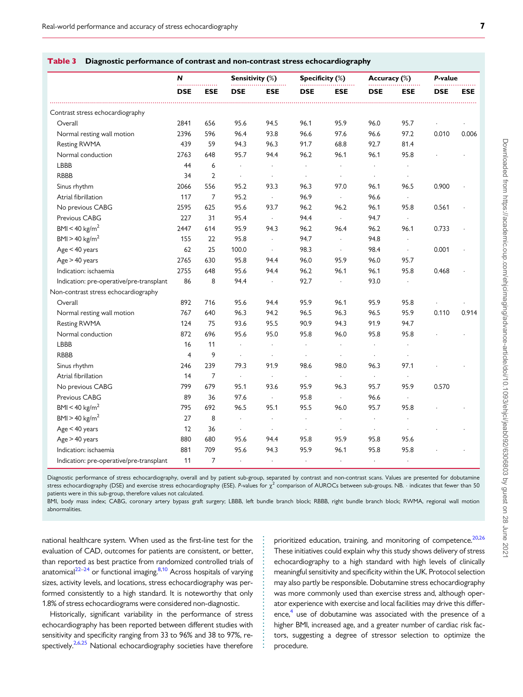|                                          | N              |                | Sensitivity (%)      |                      | Specificity (%)      |                      | Accuracy (%)         |                      | P-value    |            |
|------------------------------------------|----------------|----------------|----------------------|----------------------|----------------------|----------------------|----------------------|----------------------|------------|------------|
|                                          | <b>DSE</b>     | <b>ESE</b>     | <b>DSE</b>           | <b>ESE</b>           | <b>DSE</b>           | <b>ESE</b>           | <b>DSE</b>           | <b>ESE</b>           | <b>DSE</b> | <b>ESE</b> |
| Contrast stress echocardiography         |                |                |                      |                      |                      |                      |                      |                      |            |            |
| Overall                                  | 2841           | 656            | 95.6                 | 94.5                 | 96.1                 | 95.9                 | 96.0                 | 95.7                 |            |            |
| Normal resting wall motion               | 2396           | 596            | 96.4                 | 93.8                 | 96.6                 | 97.6                 | 96.6                 | 97.2                 | 0.010      | 0.006      |
| Resting RWMA                             | 439            | 59             | 94.3                 | 96.3                 | 91.7                 | 68.8                 | 92.7                 | 81.4                 |            |            |
| Normal conduction                        | 2763           | 648            | 95.7                 | 94.4                 | 96.2                 | 96.1                 | 96.1                 | 95.8                 |            |            |
| LBBB                                     | 44             | 6              | $\cdot$              | $\ddot{\phantom{a}}$ | $\ddot{\phantom{0}}$ | $\ddot{\phantom{0}}$ | $\cdot$              |                      |            |            |
| <b>RBBB</b>                              | 34             | $\overline{2}$ | $\ddot{\phantom{0}}$ | $\blacksquare$       | $\cdot$              | $\bullet$            | $\cdot$              | $\cdot$              |            |            |
| Sinus rhythm                             | 2066           | 556            | 95.2                 | 93.3                 | 96.3                 | 97.0                 | 96.1                 | 96.5                 | 0.900      |            |
| Atrial fibrillation                      | 117            | $\overline{7}$ | 95.2                 | $\Box$               | 96.9                 | $\Box$               | 96.6                 | $\ddot{\phantom{a}}$ |            |            |
| No previous CABG                         | 2595           | 625            | 95.6                 | 93.7                 | 96.2                 | 96.2                 | 96.1                 | 95.8                 | 0.561      |            |
| Previous CABG                            | 227            | 31             | 95.4                 | $\cdot$              | 94.4                 | $\sim$               | 94.7                 | $\ddot{\phantom{a}}$ |            |            |
| BMI < 40 kg/m <sup>2</sup>               | 2447           | 614            | 95.9                 | 94.3                 | 96.2                 | 96.4                 | 96.2                 | 96.1                 | 0.733      |            |
| BMI > 40 kg/m <sup>2</sup>               | 155            | 22             | 95.8                 | $\cdot$              | 94.7                 | $\Box$               | 94.8                 | $\cdot$              |            |            |
| Age < 40 years                           | 62             | 25             | 100.0                | $\cdot$              | 98.3                 | $\Box$               | 98.4                 | $\cdot$              | 0.001      |            |
| Age > 40 years                           | 2765           | 630            | 95.8                 | 94.4                 | 96.0                 | 95.9                 | 96.0                 | 95.7                 |            |            |
| Indication: ischaemia                    | 2755           | 648            | 95.6                 | 94.4                 | 96.2                 | 96.1                 | 96.1                 | 95.8                 | 0.468      |            |
| Indication: pre-operative/pre-transplant | 86             | 8              | 94.4                 |                      | 92.7                 |                      | 93.0                 |                      |            |            |
| Non-contrast stress echocardiography     |                |                |                      |                      |                      |                      |                      |                      |            |            |
| Overall                                  | 892            | 716            | 95.6                 | 94.4                 | 95.9                 | 96.1                 | 95.9                 | 95.8                 |            |            |
| Normal resting wall motion               | 767            | 640            | 96.3                 | 94.2                 | 96.5                 | 96.3                 | 96.5                 | 95.9                 | 0.110      | 0.914      |
| Resting RWMA                             | 124            | 75             | 93.6                 | 95.5                 | 90.9                 | 94.3                 | 91.9                 | 94.7                 |            |            |
| Normal conduction                        | 872            | 696            | 95.6                 | 95.0                 | 95.8                 | 96.0                 | 95.8                 | 95.8                 |            |            |
| LBBB                                     | 16             | 11             | $\ddot{\phantom{a}}$ | $\cdot$              | $\cdot$              | $\ddot{\phantom{0}}$ | $\cdot$              |                      |            |            |
| <b>RBBB</b>                              | $\overline{4}$ | 9              | $\ddot{\phantom{a}}$ | $\cdot$              | $\cdot$              | $\cdot$              | $\ddot{\phantom{a}}$ | $\ddot{\phantom{a}}$ |            |            |
| Sinus rhythm                             | 246            | 239            | 79.3                 | 91.9                 | 98.6                 | 98.0                 | 96.3                 | 97.1                 |            |            |
| Atrial fibrillation                      | 14             | $\overline{7}$ | $\ddot{\phantom{a}}$ | $\ddot{\phantom{0}}$ | $\ddot{\phantom{0}}$ | $\cdot$              | $\Box$               | $\ddot{\phantom{a}}$ |            |            |
| No previous CABG                         | 799            | 679            | 95.1                 | 93.6                 | 95.9                 | 96.3                 | 95.7                 | 95.9                 | 0.570      |            |
| Previous CABG                            | 89             | 36             | 97.6                 | $\sim$               | 95.8                 | $\sim$               | 96.6                 | $\bullet$            |            |            |
| BMI < 40 kg/m <sup>2</sup>               | 795            | 692            | 96.5                 | 95.1                 | 95.5                 | 96.0                 | 95.7                 | 95.8                 |            |            |
| $BMI > 40$ kg/m <sup>2</sup>             | 27             | 8              | $\ddot{\phantom{0}}$ | $\ddot{\phantom{0}}$ | $\blacksquare$       | $\ddot{\phantom{0}}$ | $\cdot$              | $\cdot$              |            |            |
| Age < 40 years                           | 12             | 36             | $\cdot$              | $\cdot$              | $\cdot$              | $\bullet$            | $\cdot$              | $\ddot{\phantom{a}}$ |            |            |
| Age > 40 years                           | 880            | 680            | 95.6                 | 94.4                 | 95.8                 | 95.9                 | 95.8                 | 95.6                 |            |            |
| Indication: ischaemia                    | 881            | 709            | 95.6                 | 94.3                 | 95.9                 | 96.1                 | 95.8                 | 95.8                 |            |            |
| Indication: pre-operative/pre-transplant | 11             | $\overline{7}$ | $\ddot{\phantom{a}}$ | $\ddot{\phantom{a}}$ | $\cdot$              | $\ddot{\phantom{a}}$ | $\cdot$              | $\bullet$            |            |            |

#### Table 3 Diagnostic performance of contrast and non-contrast stress echocardiography

Diagnostic performance of stress echocardiography, overall and by patient sub-group, separated by contrast and non-contrast scans. Values are presented for dobutamine stress echocardiography (DSE) and exercise stress echocardiography (ESE). P-values for  $\chi^2$  comparison of AUROCs between sub-groups. NB.  $\cdot$  indicates that fewer than 50 patients were in this sub-group, therefore values not calculated.

BMI, body mass index; CABG, coronary artery bypass graft surgery; LBBB, left bundle branch block; RBBB, right bundle branch block; RWMA, regional wall motion abnormalities.

> . . . . . . . . . . . . . . . . . . . . . . . . . . . . . . . .

. national healthcare system. When used as the first-line test for the evaluation of CAD, outcomes for patients are consistent, or better, than reported as best practice from randomized controlled trials of anatomical<sup>22–24</sup> or functional imaging.<sup>8,10</sup> Across hospitals of varying sizes, activity levels, and locations, stress echocardiography was performed consistently to a high standard. It is noteworthy that only 1.8% of stress echocardiograms were considered non-diagnostic.

Historically, significant variability in the performance of stress echocardiography has been reported between different studies with sensitivity and specificity ranging from 33 to 96% and 38 to 97%, respectively. $2,6,25$  National echocardiography societies have therefore

prioritized education, training, and monitoring of competence.<sup>20,26</sup> These initiatives could explain why this study shows delivery of stress echocardiography to a high standard with high levels of clinically meaningful sensitivity and specificity within the UK. Protocol selection may also partly be responsible. Dobutamine stress echocardiography was more commonly used than exercise stress and, although operator experience with exercise and local facilities may drive this difference,<sup>4</sup> use of dobutamine was associated with the presence of a higher BMI, increased age, and a greater number of cardiac risk factors, suggesting a degree of stressor selection to optimize the procedure.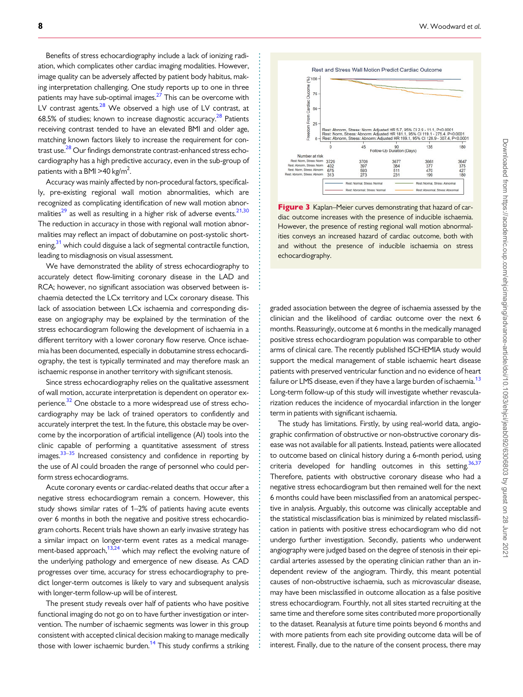Benefits of stress echocardiography include a lack of ionizing radiation, which complicates other cardiac imaging modalities. However, image quality can be adversely affected by patient body habitus, making interpretation challenging. One study reports up to one in three patients may have sub-optimal images. $2^{7}$  This can be overcome with LV contrast agents.<sup>28</sup> We observed a high use of LV contrast, at 68.5% of studies; known to increase diagnostic accuracy.<sup>28</sup> Patients receiving contrast tended to have an elevated BMI and older age, matching known factors likely to increase the requirement for contrast use.<sup>28</sup> Our findings demonstrate contrast-enhanced stress echocardiography has a high predictive accuracy, even in the sub-group of patients with a BMI >40 kg/m<sup>2</sup>. .

Accuracy was mainly affected by non-procedural factors, specifically, pre-existing regional wall motion abnormalities, which are recognized as complicating identification of new wall motion abnormalities<sup>29</sup> as well as resulting in a higher risk of adverse events.<sup>21,30</sup> The reduction in accuracy in those with regional wall motion abnormalities may reflect an impact of dobutamine on post-systolic shortening,<sup>31</sup> which could disguise a lack of segmental contractile function, leading to misdiagnosis on visual assessment.

We have demonstrated the ability of stress echocardiography to accurately detect flow-limiting coronary disease in the LAD and RCA; however, no significant association was observed between ischaemia detected the LCx territory and LCx coronary disease. This lack of association between LCx ischaemia and corresponding disease on angiography may be explained by the termination of the stress echocardiogram following the development of ischaemia in a different territory with a lower coronary flow reserve. Once ischaemia has been documented, especially in dobutamine stress echocardiography, the test is typically terminated and may therefore mask an ischaemic response in another territory with significant stenosis.

Since stress echocardiography relies on the qualitative assessment of wall motion, accurate interpretation is dependent on operator experience.<sup>32</sup> One obstacle to a more widespread use of stress echocardiography may be lack of trained operators to confidently and accurately interpret the test. In the future, this obstacle may be overcome by the incorporation of artificial intelligence (AI) tools into the clinic capable of performing a quantitative assessment of stress images.<sup>33–35</sup> Increased consistency and confidence in reporting by the use of AI could broaden the range of personnel who could perform stress echocardiograms.

Acute coronary events or cardiac-related deaths that occur after a negative stress echocardiogram remain a concern. However, this study shows similar rates of 1–2% of patients having acute events over 6 months in both the negative and positive stress echocardiogram cohorts. Recent trials have shown an early invasive strategy has a similar impact on longer-term event rates as a medical management-based approach, $13,24$  which may reflect the evolving nature of the underlying pathology and emergence of new disease. As CAD progresses over time, accuracy for stress echocardiography to predict longer-term outcomes is likely to vary and subsequent analysis with longer-term follow-up will be of interest.

The present study reveals over half of patients who have positive functional imaging do not go on to have further investigation or intervention. The number of ischaemic segments was lower in this group consistent with accepted clinical decision making to manage medically those with lower ischaemic burden.<sup>14</sup> This study confirms a striking

. . . . . . . . . . . . . . . . . . . . . . . . . . . . . . . . . . . . . . . . . . . . . . . . . . . . . . . . . . . . . . . . . . . . . . . . . . . . . . . . . . . . . . . . . . . . . . . . . . . .

. . . . . . . . . . . . . . . . . . . . . . . . . . . . . . . . . . . . . . . . . . . . . . . . . . . . . . . . . . . . . . . . . . . . .



Figure 3 Kaplan–Meier curves demonstrating that hazard of cardiac outcome increases with the presence of inducible ischaemia. However, the presence of resting regional wall motion abnormalities conveys an increased hazard of cardiac outcome, both with and without the presence of inducible ischaemia on stress echocardiography.

graded association between the degree of ischaemia assessed by the clinician and the likelihood of cardiac outcome over the next 6 months. Reassuringly, outcome at 6 months in the medically managed positive stress echocardiogram population was comparable to other arms of clinical care. The recently published ISCHEMIA study would support the medical management of stable ischaemic heart disease patients with preserved ventricular function and no evidence of heart failure or LMS disease, even if they have a large burden of ischaemia.<sup>13</sup> Long-term follow-up of this study will investigate whether revascularization reduces the incidence of myocardial infarction in the longer term in patients with significant ischaemia.

The study has limitations. Firstly, by using real-world data, angiographic confirmation of obstructive or non-obstructive coronary disease was not available for all patients. Instead, patients were allocated to outcome based on clinical history during a 6-month period, using criteria developed for handling outcomes in this setting.<sup>36,37</sup> Therefore, patients with obstructive coronary disease who had a negative stress echocardiogram but then remained well for the next 6 months could have been misclassified from an anatomical perspective in analysis. Arguably, this outcome was clinically acceptable and the statistical misclassification bias is minimized by related misclassification in patients with positive stress echocardiogram who did not undergo further investigation. Secondly, patients who underwent angiography were judged based on the degree of stenosis in their epicardial arteries assessed by the operating clinician rather than an independent review of the angiogram. Thirdly, this meant potential causes of non-obstructive ischaemia, such as microvascular disease, may have been misclassified in outcome allocation as a false positive stress echocardiogram. Fourthly, not all sites started recruiting at the same time and therefore some sites contributed more proportionally to the dataset. Reanalysis at future time points beyond 6 months and with more patients from each site providing outcome data will be of interest. Finally, due to the nature of the consent process, there may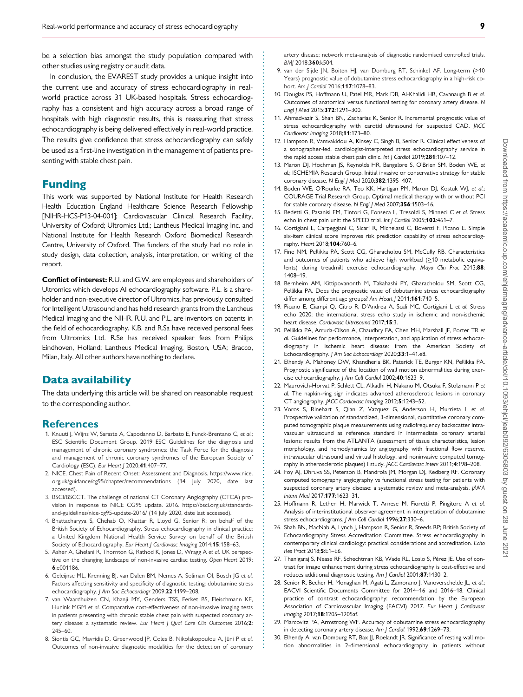be a selection bias amongst the study population compared with other studies using registry or audit data.

In conclusion, the EVAREST study provides a unique insight into the current use and accuracy of stress echocardiography in realworld practice across 31 UK-based hospitals. Stress echocardiography has a consistent and high accuracy across a broad range of hospitals with high diagnostic results, this is reassuring that stress echocardiography is being delivered effectively in real-world practice. The results give confidence that stress echocardiography can safely be used as a first-line investigation in the management of patients presenting with stable chest pain.

## Funding

This work was supported by National Institute for Health Research Health Education England Healthcare Science Research Fellowship [NIHR-HCS-P13-04-001]; Cardiovascular Clinical Research Facility, University of Oxford; Ultromics Ltd.; Lantheus Medical Imaging Inc. and National Institute for Health Research Oxford Biomedical Research Centre, University of Oxford. The funders of the study had no role in study design, data collection, analysis, interpretation, or writing of the report.

Conflict of interest: R.U. and G.W. are employees and shareholders of Ultromics which develops AI echocardiography software. P.L. is a shareholder and non-executive director of Ultromics, has previously consulted for Intelligent Ultrasound and has held research grants from the Lantheus Medical Imaging and the NIHR. R.U. and P.L. are inventors on patents in the field of echocardiography. K.B. and R.Sa have received personal fees from Ultromics Ltd. R.Se has received speaker fees from Philips Eindhoven, Holland; Lantheus Medical Imaging, Boston, USA; Bracco, Milan, Italy. All other authors have nothing to declare.

## Data availability

The data underlying this article will be shared on reasonable request to the corresponding author.

#### References

- 1. Knuuti J, Wijns W, Saraste A, Capodanno D, Barbato E, Funck-Brentano C, et al.; ESC Scientific Document Group. 2019 ESC Guidelines for the diagnosis and management of chronic coronary syndromes: the Task Force for the diagnosis and management of chronic coronary syndromes of the European Society of Cardiology (ESC). Eur Heart J 2020;41:407–77.
- 2. NICE. Chest Pain of Recent Onset: Assessment and Diagnosis. https://www.nice. org.uk/guidance/cg95/chapter/recommendations (14 July 2020, date last accessed).
- 3. BSCI/BSCCT. The challenge of national CT Coronary Angiography (CTCA) provision in response to NICE CG95 update. 2016. [https://bsci.org.uk/standards](https://bsci.org.uk/standards-and-guidelines/nice-cg95-update-2016/)[and-guidelines/nice-cg95-update-2016/](https://bsci.org.uk/standards-and-guidelines/nice-cg95-update-2016/) (14 July 2020, date last accessed).
- 4. Bhattacharyya S, Chehab O, Khattar R, Lloyd G, Senior R; on behalf of the British Society of Echocardiography. Stress echocardiography in clinical practice: a United Kingdom National Health Service Survey on behalf of the British Society of Echocardiography. Eur Heart J Cardiovasc Imaging 2014;15:158-63.
- 5. Asher A, Ghelani R, Thornton G, Rathod K, Jones D, Wragg A et al. UK perspective on the changing landscape of non-invasive cardiac testing. Open Heart 2019; 6:e001186.
- 6. Geleijnse ML, Krenning BJ, van Dalen BM, Nemes A, Soliman OI, Bosch JG et al. Factors affecting sensitivity and specificity of diagnostic testing: dobutamine stress echocardiography. J Am Soc Echocardiogr 2009;22:1199–208.
- 7. van Waardhuizen CN, Khanji MY, Genders TSS, Ferket BS, Fleischmann KE, Hunink MGM et al. Comparative cost-effectiveness of non-invasive imaging tests in patients presenting with chronic stable chest pain with suspected coronary artery disease: a systematic review. Eur Heart J Qual Care Clin Outcomes 2016;2: 245–60.
- 8. Siontis GC, Mavridis D, Greenwood JP, Coles B, Nikolakopoulou A, Jüni P et al. Outcomes of non-invasive diagnostic modalities for the detection of coronary

. . . . . . . . . . . . . . . . . . . . . . . . . . . . . . . . . . . . . . . . . . . . . . . . . . . . . . . . . . . . . . . . . . . . . . . . . . . . . . . . . . . . . . . . . . . . . . . . . . . . . . . . . . . . . . . . . . . . . . . . . . . . . . . . . . . . . . . . . . . . . . . . . . . . . . . . . . . . . . . . . . . . . . . . . . . .

artery disease: network meta-analysis of diagnostic randomised controlled trials. BMJ 2018;360:k504.

- 9. van der Sijde JN, Boiten HJ, van Domburg RT, Schinkel AF. Long-term (>10 Years) prognostic value of dobutamine stress echocardiography in a high-risk cohort. Am I Cardiol 2016:117:1078-83.
- 10. Douglas PS, Hoffmann U, Patel MR, Mark DB, Al-Khalidi HR, Cavanaugh B et al. Outcomes of anatomical versus functional testing for coronary artery disease. N Engl J Med 2015;372:1291–300.
- 11. Ahmadvazir S, Shah BN, Zacharias K, Senior R. Incremental prognostic value of stress echocardiography with carotid ultrasound for suspected CAD. JACC Cardiovasc Imaging 2018;11:173-80.
- 12. Hampson R, Vamvakidou A, Kinsey C, Singh B, Senior R. Clinical effectiveness of a sonographer-led, cardiologist-interpreted stress echocardiography service in the rapid access stable chest pain clinic. Int J Cardiol 2019;281:107-12.
- 13. Maron DJ, Hochman JS, Reynolds HR, Bangalore S, O'Brien SM, Boden WE, et al.; ISCHEMIA Research Group. Initial invasive or conservative strategy for stable coronary disease. N Engl J Med 2020;382:1395-407.
- 14. Boden WE, O'Rourke RA, Teo KK, Hartigan PM, Maron DJ, Kostuk WJ, et al.; COURAGE Trial Research Group. Optimal medical therapy with or without PCI for stable coronary disease. N Engl | Med 2007;356:1503-16.
- 15. Bedetti G, Pasanisi EM, Tintori G, Fonseca L, Tresoldi S, Minneci C et al. Stress echo in chest pain unit: the SPEED trial. Int J Cardiol 2005;102:461-7.
- 16. Cortigiani L, Carpeggiani C, Sicari R, Michelassi C, Bovenzi F, Picano E. Simple six-item clinical score improves risk prediction capability of stress echocardiography. Heart 2018;104:760–6.
- 17. Fine NM, Pellikka PA, Scott CG, Gharacholou SM, McCully RB. Characteristics and outcomes of patients who achieve high workload  $(≥10$  metabolic equivalents) during treadmill exercise echocardiography. Mayo Clin Proc 2013;88: 1408–19.
- 18. Bernheim AM, Kittipovanonth M, Takahashi PY, Gharacholou SM, Scott CG, Pellikka PA. Does the prognostic value of dobutamine stress echocardiography differ among different age groups? Am Heart | 2011;161:740-5.
- 19. Picano E, Ciampi Q, Citro R, D'Andrea A, Scali MC, Cortigiani L et al. Stress echo 2020: the international stress echo study in ischemic and non-ischemic heart disease. Cardiovasc Ultrasound 2017;15:3.
- 20. Pellikka PA, Arruda-Olson A, Chaudhry FA, Chen MH, Marshall JE, Porter TR et al. Guidelines for performance, interpretation, and application of stress echocardiography in ischemic heart disease: from the American Society of Echocardiography. J Am Soc Echocardiogr 2020;33:1–41.e8.
- 21. Elhendy A, Mahoney DW, Khandheria BK, Paterick TE, Burger KN, Pellikka PA. Prognostic significance of the location of wall motion abnormalities during exercise echocardiography. J Am Coll Cardiol 2002;40:1623-9.
- 22. Maurovich-Horvat P, Schlett CL, Alkadhi H, Nakano M, Otsuka F, Stolzmann P et al. The napkin-ring sign indicates advanced atherosclerotic lesions in coronary CT angiography. JACC Cardiovasc Imaging 2012;5:1243–52.
- 23. Voros S, Rinehart S, Qian Z, Vazquez G, Anderson H, Murrieta L et al. Prospective validation of standardized, 3-dimensional, quantitative coronary computed tomographic plaque measurements using radiofrequency backscatter intravascular ultrasound as reference standard in intermediate coronary arterial lesions: results from the ATLANTA (assessment of tissue characteristics, lesion morphology, and hemodynamics by angiography with fractional flow reserve, intravascular ultrasound and virtual histology, and noninvasive computed tomography in atherosclerotic plaques) I study. JACC Cardiovasc Interv 2011;4:198–208.
- 24. Foy AJ, Dhruva SS, Peterson B, Mandrola JM, Morgan DJ, Redberg RF. Coronary computed tomography angiography vs functional stress testing for patients with suspected coronary artery disease: a systematic review and meta-analysis. JAMA Intern Med 2017;177:1623–31.
- 25. Hoffmann R, Lethen H, Marwick T, Arnese M, Fioretti P, Pingitore A et al. Analysis of interinstitutional observer agreement in interpretation of dobutamine stress echocardiograms. J Am Coll Cardiol 1996;27:330-6.
- 26. Shah BN, MacNab A, Lynch J, Hampson R, Senior R, Steeds RP; British Society of Echocardiography Stress Accreditation Committee. Stress echocardiography in contemporary clinical cardiology: practical considerations and accreditation. Echo Res Pract 2018;5:E1–E6.
- 27. Thanigaraj S, Nease RF, Schechtman KB, Wade RL, Loslo S, Pérez JE. Use of contrast for image enhancement during stress echocardiography is cost-effective and reduces additional diagnostic testing. Am J Cardiol 2001;87:1430–2.
- 28. Senior R, Becher H, Monaghan M, Agati L, Zamorano J, Vanoverschelde JL, et al.; EACVI Scientific Documents Committee for 2014–16 and 2016–18. Clinical practice of contrast echocardiography: recommendation by the European Association of Cardiovascular Imaging (EACVI) 2017. Eur Heart J Cardiovasc Imaging 2017;18:1205–1205af.
- 29. Marcovitz PA, Armstrong WF. Accuracy of dobutamine stress echocardiography in detecting coronary artery disease. Am J Cardiol 1992;69:1269-73.
- 30. Elhendy A, van Domburg RT, Bax JJ, Roelandt JR. Significance of resting wall motion abnormalities in 2-dimensional echocardiography in patients without